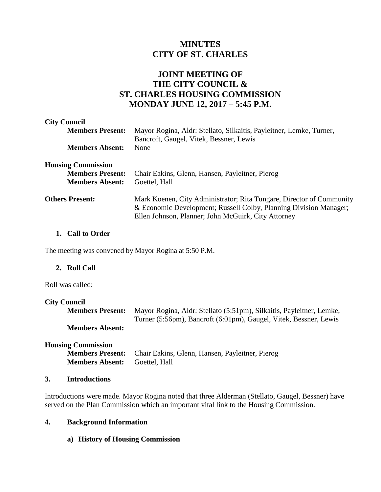# **MINUTES CITY OF ST. CHARLES**

## **JOINT MEETING OF THE CITY COUNCIL & ST. CHARLES HOUSING COMMISSION MONDAY JUNE 12, 2017 – 5:45 P.M.**

| <b>City Council</b>       |                                                                                                                                                                                                  |
|---------------------------|--------------------------------------------------------------------------------------------------------------------------------------------------------------------------------------------------|
| <b>Members Present:</b>   | Mayor Rogina, Aldr: Stellato, Silkaitis, Payleitner, Lemke, Turner,                                                                                                                              |
|                           | Bancroft, Gaugel, Vitek, Bessner, Lewis                                                                                                                                                          |
| <b>Members Absent:</b>    | None                                                                                                                                                                                             |
| <b>Housing Commission</b> |                                                                                                                                                                                                  |
| <b>Members Present:</b>   | Chair Eakins, Glenn, Hansen, Payleitner, Pierog                                                                                                                                                  |
| <b>Members Absent:</b>    | Goettel, Hall                                                                                                                                                                                    |
| <b>Others Present:</b>    | Mark Koenen, City Administrator; Rita Tungare, Director of Community<br>& Economic Development; Russell Colby, Planning Division Manager;<br>Ellen Johnson, Planner; John McGuirk, City Attorney |
|                           |                                                                                                                                                                                                  |

#### **1. Call to Order**

The meeting was convened by Mayor Rogina at 5:50 P.M.

## **2. Roll Call**

Roll was called:

# **City Council Members Present:** Mayor Rogina, Aldr: Stellato (5:51pm), Silkaitis, Payleitner, Lemke, Turner (5:56pm), Bancroft (6:01pm), Gaugel, Vitek, Bessner, Lewis **Members Absent:**

## **Housing Commission Members Present:** Chair Eakins, Glenn, Hansen, Payleitner, Pierog **Members Absent:** Goettel, Hall

#### **3. Introductions**

Introductions were made. Mayor Rogina noted that three Alderman (Stellato, Gaugel, Bessner) have served on the Plan Commission which an important vital link to the Housing Commission.

#### **4. Background Information**

## **a) History of Housing Commission**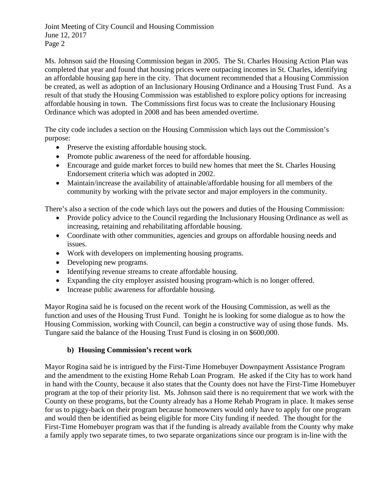Ms. Johnson said the Housing Commission began in 2005. The St. Charles Housing Action Plan was completed that year and found that housing prices were outpacing incomes in St. Charles, identifying an affordable housing gap here in the city. That document recommended that a Housing Commission be created, as well as adoption of an Inclusionary Housing Ordinance and a Housing Trust Fund. As a result of that study the Housing Commission was established to explore policy options for increasing affordable housing in town. The Commissions first focus was to create the Inclusionary Housing Ordinance which was adopted in 2008 and has been amended overtime.

The city code includes a section on the Housing Commission which lays out the Commission's purpose:

- Preserve the existing affordable housing stock.
- Promote public awareness of the need for affordable housing.
- Encourage and guide market forces to build new homes that meet the St. Charles Housing Endorsement criteria which was adopted in 2002.
- Maintain/increase the availability of attainable/affordable housing for all members of the community by working with the private sector and major employers in the community.

There's also a section of the code which lays out the powers and duties of the Housing Commission:

- Provide policy advice to the Council regarding the Inclusionary Housing Ordinance as well as increasing, retaining and rehabilitating affordable housing.
- Coordinate with other communities, agencies and groups on affordable housing needs and issues.
- Work with developers on implementing housing programs.
- Developing new programs.
- Identifying revenue streams to create affordable housing.
- Expanding the city employer assisted housing program-which is no longer offered.
- Increase public awareness for affordable housing.

Mayor Rogina said he is focused on the recent work of the Housing Commission, as well as the function and uses of the Housing Trust Fund. Tonight he is looking for some dialogue as to how the Housing Commission, working with Council, can begin a constructive way of using those funds. Ms. Tungare said the balance of the Housing Trust Fund is closing in on \$600,000.

## **b) Housing Commission's recent work**

Mayor Rogina said he is intrigued by the First-Time Homebuyer Downpayment Assistance Program and the amendment to the existing Home Rehab Loan Program. He asked if the City has to work hand in hand with the County, because it also states that the County does not have the First-Time Homebuyer program at the top of their priority list. Ms. Johnson said there is no requirement that we work with the County on these programs, but the County already has a Home Rehab Program in place. It makes sense for us to piggy-back on their program because homeowners would only have to apply for one program and would then be identified as being eligible for more City funding if needed. The thought for the First-Time Homebuyer program was that if the funding is already available from the County why make a family apply two separate times, to two separate organizations since our program is in-line with the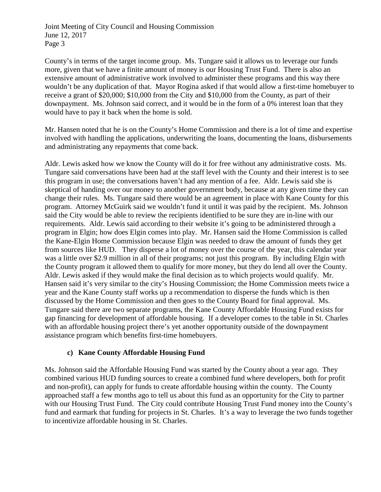County's in terms of the target income group. Ms. Tungare said it allows us to leverage our funds more, given that we have a finite amount of money is our Housing Trust Fund. There is also an extensive amount of administrative work involved to administer these programs and this way there wouldn't be any duplication of that. Mayor Rogina asked if that would allow a first-time homebuyer to receive a grant of \$20,000; \$10,000 from the City and \$10,000 from the County, as part of their downpayment. Ms. Johnson said correct, and it would be in the form of a 0% interest loan that they would have to pay it back when the home is sold.

Mr. Hansen noted that he is on the County's Home Commission and there is a lot of time and expertise involved with handling the applications, underwriting the loans, documenting the loans, disbursements and administrating any repayments that come back.

Aldr. Lewis asked how we know the County will do it for free without any administrative costs. Ms. Tungare said conversations have been had at the staff level with the County and their interest is to see this program in use; the conversations haven't had any mention of a fee. Aldr. Lewis said she is skeptical of handing over our money to another government body, because at any given time they can change their rules. Ms. Tungare said there would be an agreement in place with Kane County for this program. Attorney McGuirk said we wouldn't fund it until it was paid by the recipient. Ms. Johnson said the City would be able to review the recipients identified to be sure they are in-line with our requirements. Aldr. Lewis said according to their website it's going to be administered through a program in Elgin; how does Elgin comes into play. Mr. Hansen said the Home Commission is called the Kane-Elgin Home Commission because Elgin was needed to draw the amount of funds they get from sources like HUD. They disperse a lot of money over the course of the year, this calendar year was a little over \$2.9 million in all of their programs; not just this program. By including Elgin with the County program it allowed them to qualify for more money, but they do lend all over the County. Aldr. Lewis asked if they would make the final decision as to which projects would qualify. Mr. Hansen said it's very similar to the city's Housing Commission; the Home Commission meets twice a year and the Kane County staff works up a recommendation to disperse the funds which is then discussed by the Home Commission and then goes to the County Board for final approval. Ms. Tungare said there are two separate programs, the Kane County Affordable Housing Fund exists for gap financing for development of affordable housing. If a developer comes to the table in St. Charles with an affordable housing project there's yet another opportunity outside of the downpayment assistance program which benefits first-time homebuyers.

## **c) Kane County Affordable Housing Fund**

Ms. Johnson said the Affordable Housing Fund was started by the County about a year ago. They combined various HUD funding sources to create a combined fund where developers, both for profit and non-profit), can apply for funds to create affordable housing within the county. The County approached staff a few months ago to tell us about this fund as an opportunity for the City to partner with our Housing Trust Fund. The City could contribute Housing Trust Fund money into the County's fund and earmark that funding for projects in St. Charles. It's a way to leverage the two funds together to incentivize affordable housing in St. Charles.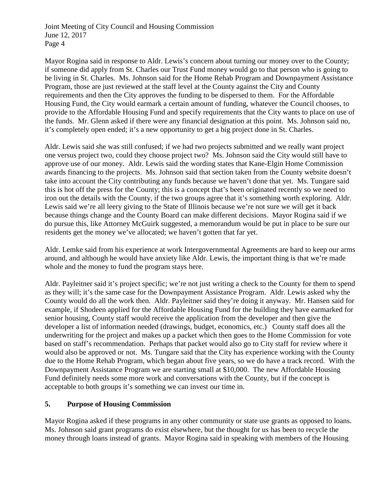Mayor Rogina said in response to Aldr. Lewis's concern about turning our money over to the County; if someone did apply from St. Charles our Trust Fund money would go to that person who is going to be living in St. Charles. Ms. Johnson said for the Home Rehab Program and Downpayment Assistance Program, those are just reviewed at the staff level at the County against the City and County requirements and then the City approves the funding to be dispersed to them. For the Affordable Housing Fund, the City would earmark a certain amount of funding, whatever the Council chooses, to provide to the Affordable Housing Fund and specify requirements that the City wants to place on use of the funds. Mr. Glenn asked if there were any financial designation at this point. Ms. Johnson said no, it's completely open ended; it's a new opportunity to get a big project done in St. Charles.

Aldr. Lewis said she was still confused; if we had two projects submitted and we really want project one versus project two, could they choose project two? Ms. Johnson said the City would still have to approve use of our money. Aldr. Lewis said the wording states that Kane-Elgin Home Commission awards financing to the projects. Ms. Johnson said that section taken from the County website doesn't take into account the City contributing any funds because we haven't done that yet. Ms. Tungare said this is hot off the press for the County; this is a concept that's been originated recently so we need to iron out the details with the County, if the two groups agree that it's something worth exploring. Aldr. Lewis said we're all leery giving to the State of Illinois because we're not sure we will get it back because things change and the County Board can make different decisions. Mayor Rogina said if we do pursue this, like Attorney McGuirk suggested, a memorandum would be put in place to be sure our residents get the money we've allocated; we haven't gotten that far yet.

Aldr. Lemke said from his experience at work Intergovernmental Agreements are hard to keep our arms around, and although he would have anxiety like Aldr. Lewis, the important thing is that we're made whole and the money to fund the program stays here.

Aldr. Payleitner said it's project specific; we're not just writing a check to the County for them to spend as they will; it's the same case for the Downpayment Assistance Program. Aldr. Lewis asked why the County would do all the work then. Aldr. Payleitner said they're doing it anyway. Mr. Hansen said for example, if Shodeen applied for the Affordable Housing Fund for the building they have earmarked for senior housing, County staff would receive the application from the developer and then give the developer a list of information needed (drawings, budget, economics, etc.) County staff does all the underwriting for the project and makes up a packet which then goes to the Home Commission for vote based on staff's recommendation. Perhaps that packet would also go to City staff for review where it would also be approved or not. Ms. Tungare said that the City has experience working with the County due to the Home Rehab Program, which began about five years, so we do have a track record. With the Downpayment Assistance Program we are starting small at \$10,000. The new Affordable Housing Fund definitely needs some more work and conversations with the County, but if the concept is acceptable to both groups it's something we can invest our time in.

## **5. Purpose of Housing Commission**

Mayor Rogina asked if these programs in any other community or state use grants as opposed to loans. Ms. Johnson said grant programs do exist elsewhere, but the thought for us has been to recycle the money through loans instead of grants. Mayor Rogina said in speaking with members of the Housing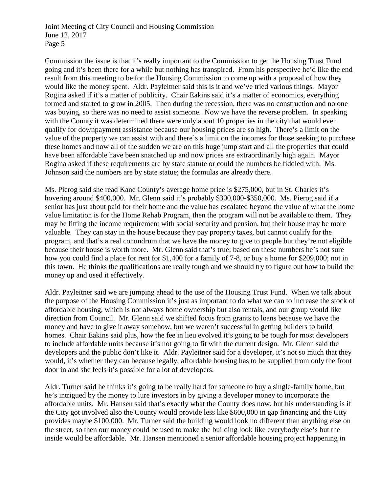Commission the issue is that it's really important to the Commission to get the Housing Trust Fund going and it's been there for a while but nothing has transpired. From his perspective he'd like the end result from this meeting to be for the Housing Commission to come up with a proposal of how they would like the money spent. Aldr. Payleitner said this is it and we've tried various things. Mayor Rogina asked if it's a matter of publicity. Chair Eakins said it's a matter of economics, everything formed and started to grow in 2005. Then during the recession, there was no construction and no one was buying, so there was no need to assist someone. Now we have the reverse problem. In speaking with the County it was determined there were only about 10 properties in the city that would even qualify for downpayment assistance because our housing prices are so high. There's a limit on the value of the property we can assist with and there's a limit on the incomes for those seeking to purchase these homes and now all of the sudden we are on this huge jump start and all the properties that could have been affordable have been snatched up and now prices are extraordinarily high again. Mayor Rogina asked if these requirements are by state statute or could the numbers be fiddled with. Ms. Johnson said the numbers are by state statue; the formulas are already there.

Ms. Pierog said she read Kane County's average home price is \$275,000, but in St. Charles it's hovering around \$400,000. Mr. Glenn said it's probably \$300,000-\$350,000. Ms. Pierog said if a senior has just about paid for their home and the value has escalated beyond the value of what the home value limitation is for the Home Rehab Program, then the program will not be available to them. They may be fitting the income requirement with social security and pension, but their house may be more valuable. They can stay in the house because they pay property taxes, but cannot qualify for the program, and that's a real conundrum that we have the money to give to people but they're not eligible because their house is worth more. Mr. Glenn said that's true; based on these numbers he's not sure how you could find a place for rent for \$1,400 for a family of 7-8, or buy a home for \$209,000; not in this town. He thinks the qualifications are really tough and we should try to figure out how to build the money up and used it effectively.

Aldr. Payleitner said we are jumping ahead to the use of the Housing Trust Fund. When we talk about the purpose of the Housing Commission it's just as important to do what we can to increase the stock of affordable housing, which is not always home ownership but also rentals, and our group would like direction from Council. Mr. Glenn said we shifted focus from grants to loans because we have the money and have to give it away somehow, but we weren't successful in getting builders to build homes. Chair Eakins said plus, how the fee in lieu evolved it's going to be tough for most developers to include affordable units because it's not going to fit with the current design. Mr. Glenn said the developers and the public don't like it. Aldr. Payleitner said for a developer, it's not so much that they would, it's whether they can because legally, affordable housing has to be supplied from only the front door in and she feels it's possible for a lot of developers.

Aldr. Turner said he thinks it's going to be really hard for someone to buy a single-family home, but he's intrigued by the money to lure investors in by giving a developer money to incorporate the affordable units. Mr. Hansen said that's exactly what the County does now, but his understanding is if the City got involved also the County would provide less like \$600,000 in gap financing and the City provides maybe \$100,000. Mr. Turner said the building would look no different than anything else on the street, so then our money could be used to make the building look like everybody else's but the inside would be affordable. Mr. Hansen mentioned a senior affordable housing project happening in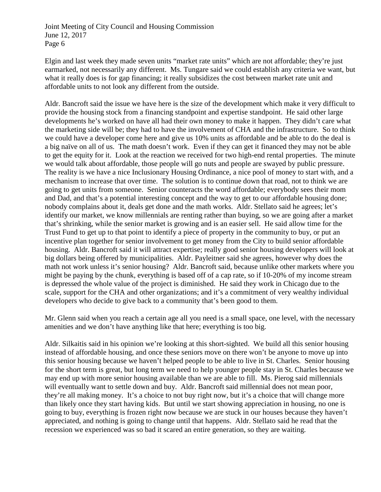Elgin and last week they made seven units "market rate units" which are not affordable; they're just earmarked, not necessarily any different. Ms. Tungare said we could establish any criteria we want, but what it really does is for gap financing; it really subsidizes the cost between market rate unit and affordable units to not look any different from the outside.

Aldr. Bancroft said the issue we have here is the size of the development which make it very difficult to provide the housing stock from a financing standpoint and expertise standpoint. He said other large developments he's worked on have all had their own money to make it happen. They didn't care what the marketing side will be; they had to have the involvement of CHA and the infrastructure. So to think we could have a developer come here and give us 10% units as affordable and be able to do the deal is a big naïve on all of us. The math doesn't work. Even if they can get it financed they may not be able to get the equity for it. Look at the reaction we received for two high-end rental properties. The minute we would talk about affordable, those people will go nuts and people are swayed by public pressure. The reality is we have a nice Inclusionary Housing Ordinance, a nice pool of money to start with, and a mechanism to increase that over time. The solution is to continue down that road, not to think we are going to get units from someone. Senior counteracts the word affordable; everybody sees their mom and Dad, and that's a potential interesting concept and the way to get to our affordable housing done; nobody complains about it, deals get done and the math works. Aldr. Stellato said he agrees; let's identify our market, we know millennials are renting rather than buying, so we are going after a market that's shrinking, while the senior market is growing and is an easier sell. He said allow time for the Trust Fund to get up to that point to identify a piece of property in the community to buy, or put an incentive plan together for senior involvement to get money from the City to build senior affordable housing. Aldr. Bancroft said it will attract expertise; really good senior housing developers will look at big dollars being offered by municipalities. Aldr. Payleitner said she agrees, however why does the math not work unless it's senior housing? Aldr. Bancroft said, because unlike other markets where you might be paying by the chunk, everything is based off of a cap rate, so if 10-20% of my income stream is depressed the whole value of the project is diminished. He said they work in Chicago due to the scale, support for the CHA and other organizations; and it's a commitment of very wealthy individual developers who decide to give back to a community that's been good to them.

Mr. Glenn said when you reach a certain age all you need is a small space, one level, with the necessary amenities and we don't have anything like that here; everything is too big.

Aldr. Silkaitis said in his opinion we're looking at this short-sighted. We build all this senior housing instead of affordable housing, and once these seniors move on there won't be anyone to move up into this senior housing because we haven't helped people to be able to live in St. Charles. Senior housing for the short term is great, but long term we need to help younger people stay in St. Charles because we may end up with more senior housing available than we are able to fill. Ms. Pierog said millennials will eventually want to settle down and buy. Aldr. Bancroft said millennial does not mean poor, they're all making money. It's a choice to not buy right now, but it's a choice that will change more than likely once they start having kids. But until we start showing appreciation in housing, no one is going to buy, everything is frozen right now because we are stuck in our houses because they haven't appreciated, and nothing is going to change until that happens. Aldr. Stellato said he read that the recession we experienced was so bad it scared an entire generation, so they are waiting.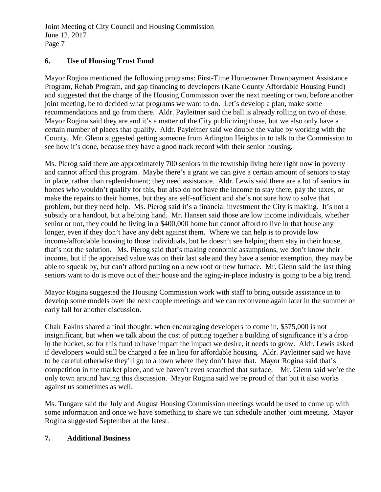## **6. Use of Housing Trust Fund**

Mayor Rogina mentioned the following programs: First-Time Homeowner Downpayment Assistance Program, Rehab Program, and gap financing to developers (Kane County Affordable Housing Fund) and suggested that the charge of the Housing Commission over the next meeting or two, before another joint meeting, be to decided what programs we want to do. Let's develop a plan, make some recommendations and go from there. Aldr. Payleitner said the ball is already rolling on two of those. Mayor Rogina said they are and it's a matter of the City publicizing those, but we also only have a certain number of places that qualify. Aldr. Payleitner said we double the value by working with the County. Mr. Glenn suggested getting someone from Arlington Heights in to talk to the Commission to see how it's done, because they have a good track record with their senior housing.

Ms. Pierog said there are approximately 700 seniors in the township living here right now in poverty and cannot afford this program. Maybe there's a grant we can give a certain amount of seniors to stay in place, rather than replenishment; they need assistance. Aldr. Lewis said there are a lot of seniors in homes who wouldn't qualify for this, but also do not have the income to stay there, pay the taxes, or make the repairs to their homes, but they are self-sufficient and she's not sure how to solve that problem, but they need help. Ms. Pierog said it's a financial investment the City is making. It's not a subsidy or a handout, but a helping hand. Mr. Hansen said those are low income individuals, whether senior or not, they could be living in a \$400,000 home but cannot afford to live in that house any longer, even if they don't have any debt against them. Where we can help is to provide low income/affordable housing to those individuals, but he doesn't see helping them stay in their house, that's not the solution. Ms. Pierog said that's making economic assumptions, we don't know their income, but if the appraised value was on their last sale and they have a senior exemption, they may be able to squeak by, but can't afford putting on a new roof or new furnace. Mr. Glenn said the last thing seniors want to do is move out of their house and the aging-in-place industry is going to be a big trend.

Mayor Rogina suggested the Housing Commission work with staff to bring outside assistance in to develop some models over the next couple meetings and we can reconvene again later in the summer or early fall for another discussion.

Chair Eakins shared a final thought: when encouraging developers to come in, \$575,000 is not insignificant, but when we talk about the cost of putting together a building of significance it's a drop in the bucket, so for this fund to have impact the impact we desire, it needs to grow. Aldr. Lewis asked if developers would still be charged a fee in lieu for affordable housing. Aldr. Payleitner said we have to be careful otherwise they'll go to a town where they don't have that. Mayor Rogina said that's competition in the market place, and we haven't even scratched that surface. Mr. Glenn said we're the only town around having this discussion. Mayor Rogina said we're proud of that but it also works against us sometimes as well.

Ms. Tungare said the July and August Housing Commission meetings would be used to come up with some information and once we have something to share we can schedule another joint meeting. Mayor Rogina suggested September at the latest.

#### **7. Additional Business**